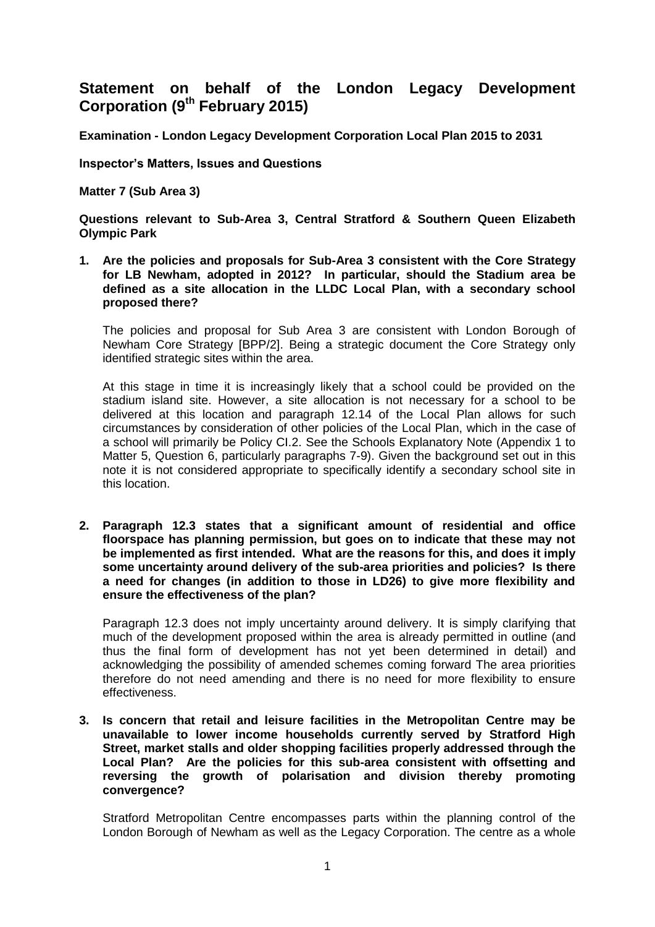# **Statement on behalf of the London Legacy Development Corporation (9th February 2015)**

**Examination - London Legacy Development Corporation Local Plan 2015 to 2031**

**Inspector's Matters, Issues and Questions** 

**Matter 7 (Sub Area 3)**

**Questions relevant to Sub-Area 3, Central Stratford & Southern Queen Elizabeth Olympic Park**

**1. Are the policies and proposals for Sub-Area 3 consistent with the Core Strategy for LB Newham, adopted in 2012? In particular, should the Stadium area be defined as a site allocation in the LLDC Local Plan, with a secondary school proposed there?**

The policies and proposal for Sub Area 3 are consistent with London Borough of Newham Core Strategy [BPP/2]. Being a strategic document the Core Strategy only identified strategic sites within the area.

At this stage in time it is increasingly likely that a school could be provided on the stadium island site. However, a site allocation is not necessary for a school to be delivered at this location and paragraph 12.14 of the Local Plan allows for such circumstances by consideration of other policies of the Local Plan, which in the case of a school will primarily be Policy CI.2. See the Schools Explanatory Note (Appendix 1 to Matter 5, Question 6, particularly paragraphs 7-9). Given the background set out in this note it is not considered appropriate to specifically identify a secondary school site in this location.

**2. Paragraph 12.3 states that a significant amount of residential and office floorspace has planning permission, but goes on to indicate that these may not be implemented as first intended. What are the reasons for this, and does it imply some uncertainty around delivery of the sub-area priorities and policies? Is there a need for changes (in addition to those in LD26) to give more flexibility and ensure the effectiveness of the plan?**

Paragraph 12.3 does not imply uncertainty around delivery. It is simply clarifying that much of the development proposed within the area is already permitted in outline (and thus the final form of development has not yet been determined in detail) and acknowledging the possibility of amended schemes coming forward The area priorities therefore do not need amending and there is no need for more flexibility to ensure effectiveness.

**3. Is concern that retail and leisure facilities in the Metropolitan Centre may be unavailable to lower income households currently served by Stratford High Street, market stalls and older shopping facilities properly addressed through the Local Plan? Are the policies for this sub-area consistent with offsetting and reversing the growth of polarisation and division thereby promoting convergence?**

Stratford Metropolitan Centre encompasses parts within the planning control of the London Borough of Newham as well as the Legacy Corporation. The centre as a whole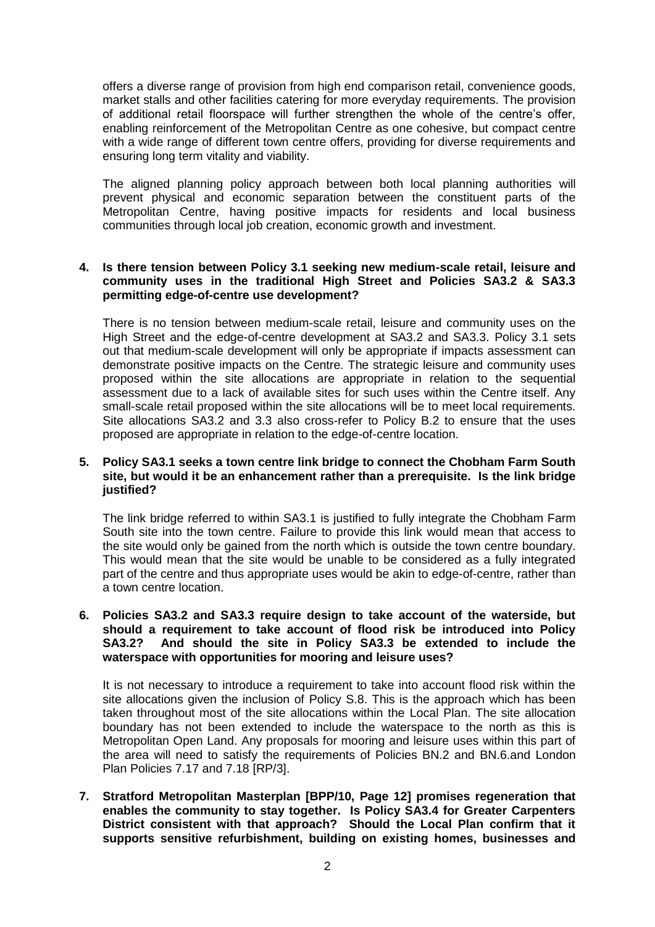offers a diverse range of provision from high end comparison retail, convenience goods, market stalls and other facilities catering for more everyday requirements. The provision of additional retail floorspace will further strengthen the whole of the centre's offer, enabling reinforcement of the Metropolitan Centre as one cohesive, but compact centre with a wide range of different town centre offers, providing for diverse requirements and ensuring long term vitality and viability.

The aligned planning policy approach between both local planning authorities will prevent physical and economic separation between the constituent parts of the Metropolitan Centre, having positive impacts for residents and local business communities through local job creation, economic growth and investment.

# **4. Is there tension between Policy 3.1 seeking new medium-scale retail, leisure and community uses in the traditional High Street and Policies SA3.2 & SA3.3 permitting edge-of-centre use development?**

There is no tension between medium-scale retail, leisure and community uses on the High Street and the edge-of-centre development at SA3.2 and SA3.3. Policy 3.1 sets out that medium-scale development will only be appropriate if impacts assessment can demonstrate positive impacts on the Centre. The strategic leisure and community uses proposed within the site allocations are appropriate in relation to the sequential assessment due to a lack of available sites for such uses within the Centre itself. Any small-scale retail proposed within the site allocations will be to meet local requirements. Site allocations SA3.2 and 3.3 also cross-refer to Policy B.2 to ensure that the uses proposed are appropriate in relation to the edge-of-centre location.

# **5. Policy SA3.1 seeks a town centre link bridge to connect the Chobham Farm South site, but would it be an enhancement rather than a prerequisite. Is the link bridge justified?**

The link bridge referred to within SA3.1 is justified to fully integrate the Chobham Farm South site into the town centre. Failure to provide this link would mean that access to the site would only be gained from the north which is outside the town centre boundary. This would mean that the site would be unable to be considered as a fully integrated part of the centre and thus appropriate uses would be akin to edge-of-centre, rather than a town centre location.

### **6. Policies SA3.2 and SA3.3 require design to take account of the waterside, but should a requirement to take account of flood risk be introduced into Policy SA3.2? And should the site in Policy SA3.3 be extended to include the waterspace with opportunities for mooring and leisure uses?**

It is not necessary to introduce a requirement to take into account flood risk within the site allocations given the inclusion of Policy S.8. This is the approach which has been taken throughout most of the site allocations within the Local Plan. The site allocation boundary has not been extended to include the waterspace to the north as this is Metropolitan Open Land. Any proposals for mooring and leisure uses within this part of the area will need to satisfy the requirements of Policies BN.2 and BN.6.and London Plan Policies 7.17 and 7.18 [RP/3].

**7. Stratford Metropolitan Masterplan [BPP/10, Page 12] promises regeneration that enables the community to stay together. Is Policy SA3.4 for Greater Carpenters District consistent with that approach? Should the Local Plan confirm that it supports sensitive refurbishment, building on existing homes, businesses and**